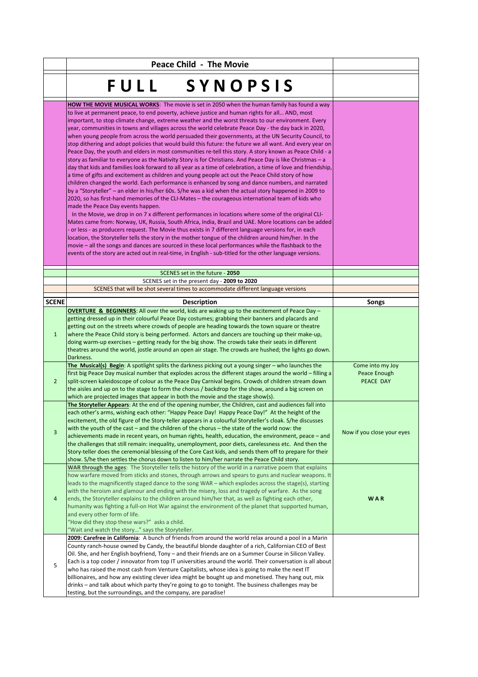|                | <b>Peace Child - The Movie</b>                                                                                                                                                                                                                                                                                                                                                                                                                                                                                                                                                                                                                                                                                                                                                                                                                                                                                                                                                                                                                                                                                                                                                                                                                                                                                                                                                                                                                                                                                                                                                                                                                                                                                                                                                                                                                                                                                                                                                                                                                                                                  |                                               |
|----------------|-------------------------------------------------------------------------------------------------------------------------------------------------------------------------------------------------------------------------------------------------------------------------------------------------------------------------------------------------------------------------------------------------------------------------------------------------------------------------------------------------------------------------------------------------------------------------------------------------------------------------------------------------------------------------------------------------------------------------------------------------------------------------------------------------------------------------------------------------------------------------------------------------------------------------------------------------------------------------------------------------------------------------------------------------------------------------------------------------------------------------------------------------------------------------------------------------------------------------------------------------------------------------------------------------------------------------------------------------------------------------------------------------------------------------------------------------------------------------------------------------------------------------------------------------------------------------------------------------------------------------------------------------------------------------------------------------------------------------------------------------------------------------------------------------------------------------------------------------------------------------------------------------------------------------------------------------------------------------------------------------------------------------------------------------------------------------------------------------|-----------------------------------------------|
|                | <b>FULL</b><br>SYNOPSIS                                                                                                                                                                                                                                                                                                                                                                                                                                                                                                                                                                                                                                                                                                                                                                                                                                                                                                                                                                                                                                                                                                                                                                                                                                                                                                                                                                                                                                                                                                                                                                                                                                                                                                                                                                                                                                                                                                                                                                                                                                                                         |                                               |
|                | <b>HOW THE MOVIE MUSICAL WORKS:</b> The movie is set in 2050 when the human family has found a way<br>to live at permanent peace, to end poverty, achieve justice and human rights for all AND, most<br>important, to stop climate change, extreme weather and the worst threats to our environment. Every<br>year, communities in towns and villages across the world celebrate Peace Day - the day back in 2020,<br>when young people from across the world persuaded their governments, at the UN Security Council, to<br>stop dithering and adopt policies that would build this future: the future we all want. And every year on<br>Peace Day, the youth and elders in most communities re-tell this story. A story known as Peace Child - a<br>story as familiar to everyone as the Nativity Story is for Christians. And Peace Day is like Christmas – a<br>day that kids and families look forward to all year as a time of celebration, a time of love and friendship,<br>a time of gifts and excitement as children and young people act out the Peace Child story of how<br>children changed the world. Each performance is enhanced by song and dance numbers, and narrated<br>by a "Storyteller" - an elder in his/her 60s. S/he was a kid when the actual story happened in 2009 to<br>2020, so has first-hand memories of the CLI-Mates - the courageous international team of kids who<br>made the Peace Day events happen.<br>In the Movie, we drop in on 7 x different performances in locations where some of the original CLI-<br>Mates came from: Norway, UK, Russia, South Africa, India, Brazil and UAE. More locations can be added<br>or less - as producers request. The Movie thus exists in 7 different language versions for, in each<br>location, the Storyteller tells the story in the mother tongue of the children around him/her. In the<br>movie – all the songs and dances are sourced in these local performances while the flashback to the<br>events of the story are acted out in real-time, in English - sub-titled for the other language versions. |                                               |
|                |                                                                                                                                                                                                                                                                                                                                                                                                                                                                                                                                                                                                                                                                                                                                                                                                                                                                                                                                                                                                                                                                                                                                                                                                                                                                                                                                                                                                                                                                                                                                                                                                                                                                                                                                                                                                                                                                                                                                                                                                                                                                                                 |                                               |
|                | SCENES set in the future - 2050<br>SCENES set in the present day - 2009 to 2020                                                                                                                                                                                                                                                                                                                                                                                                                                                                                                                                                                                                                                                                                                                                                                                                                                                                                                                                                                                                                                                                                                                                                                                                                                                                                                                                                                                                                                                                                                                                                                                                                                                                                                                                                                                                                                                                                                                                                                                                                 |                                               |
|                | SCENES that will be shot several times to accommodate different language versions                                                                                                                                                                                                                                                                                                                                                                                                                                                                                                                                                                                                                                                                                                                                                                                                                                                                                                                                                                                                                                                                                                                                                                                                                                                                                                                                                                                                                                                                                                                                                                                                                                                                                                                                                                                                                                                                                                                                                                                                               |                                               |
| <b>SCENE</b>   | <b>Description</b>                                                                                                                                                                                                                                                                                                                                                                                                                                                                                                                                                                                                                                                                                                                                                                                                                                                                                                                                                                                                                                                                                                                                                                                                                                                                                                                                                                                                                                                                                                                                                                                                                                                                                                                                                                                                                                                                                                                                                                                                                                                                              | Songs                                         |
| $\mathbf{1}$   | OVERTURE & BEGINNERS: All over the world, kids are waking up to the excitement of Peace Day -<br>getting dressed up in their colourful Peace Day costumes; grabbing their banners and placards and<br>getting out on the streets where crowds of people are heading towards the town square or theatre<br>where the Peace Child story is being performed. Actors and dancers are touching up their make-up,<br>doing warm-up exercises – getting ready for the big show. The crowds take their seats in different<br>theatres around the world, jostle around an open air stage. The crowds are hushed; the lights go down.<br>Darkness.                                                                                                                                                                                                                                                                                                                                                                                                                                                                                                                                                                                                                                                                                                                                                                                                                                                                                                                                                                                                                                                                                                                                                                                                                                                                                                                                                                                                                                                        |                                               |
| $\overline{2}$ | The Musical(s) Begin: A spotlight splits the darkness picking out a young singer - who launches the<br>first big Peace Day musical number that explodes across the different stages around the world – filling a<br>split-screen kaleidoscope of colour as the Peace Day Carnival begins. Crowds of children stream down<br>the aisles and up on to the stage to form the chorus / backdrop for the show, around a big screen on<br>which are projected images that appear in both the movie and the stage show(s).                                                                                                                                                                                                                                                                                                                                                                                                                                                                                                                                                                                                                                                                                                                                                                                                                                                                                                                                                                                                                                                                                                                                                                                                                                                                                                                                                                                                                                                                                                                                                                             | Come into my Joy<br>Peace Enough<br>PEACE DAY |
| $\overline{3}$ | The Storyteller Appears: At the end of the opening number, the Children, cast and audiences fall into<br>each other's arms, wishing each other: "Happy Peace Day! Happy Peace Day!" At the height of the<br>excitement, the old figure of the Story-teller appears in a colourful Storyteller's cloak. S/he discusses<br>with the youth of the cast – and the children of the chorus – the state of the world now: the<br>achievements made in recent years, on human rights, health, education, the environment, peace - and<br>the challenges that still remain: inequality, unemployment, poor diets, carelessness etc. And then the<br>Story-teller does the ceremonial blessing of the Core Cast kids, and sends them off to prepare for their<br>show. S/he then settles the chorus down to listen to him/her narrate the Peace Child story.                                                                                                                                                                                                                                                                                                                                                                                                                                                                                                                                                                                                                                                                                                                                                                                                                                                                                                                                                                                                                                                                                                                                                                                                                                              | Now if you close your eyes                    |
| 4              | WAR through the ages: The Storyteller tells the history of the world in a narrative poem that explains<br>how warfare moved from sticks and stones, through arrows and spears to guns and nuclear weapons. It<br>leads to the magnificently staged dance to the song WAR - which explodes across the stage(s), starting<br>with the heroism and glamour and ending with the misery, loss and tragedy of warfare. As the song<br>ends, the Storyteller explains to the children around him/her that, as well as fighting each other,<br>humanity was fighting a full-on Hot War against the environment of the planet that supported human,<br>and every other form of life.<br>"How did they stop these wars?" asks a child.<br>"Wait and watch the story" says the Storyteller.                                                                                                                                                                                                                                                                                                                                                                                                                                                                                                                                                                                                                                                                                                                                                                                                                                                                                                                                                                                                                                                                                                                                                                                                                                                                                                                | WAR                                           |
| 5              | 2009: Carefree in California: A bunch of friends from around the world relax around a pool in a Marin<br>County ranch-house owned by Candy, the beautiful blonde daughter of a rich, Californian CEO of Best<br>Oil. She, and her English boyfriend, Tony – and their friends are on a Summer Course in Silicon Valley.<br>Each is a top coder / innovator from top IT universities around the world. Their conversation is all about<br>who has raised the most cash from Venture Capitalists, whose idea is going to make the next IT<br>billionaires, and how any existing clever idea might be bought up and monetised. They hang out, mix<br>drinks – and talk about which party they're going to go to tonight. The business challenges may be<br>testing, but the surroundings, and the company, are paradise!                                                                                                                                                                                                                                                                                                                                                                                                                                                                                                                                                                                                                                                                                                                                                                                                                                                                                                                                                                                                                                                                                                                                                                                                                                                                           |                                               |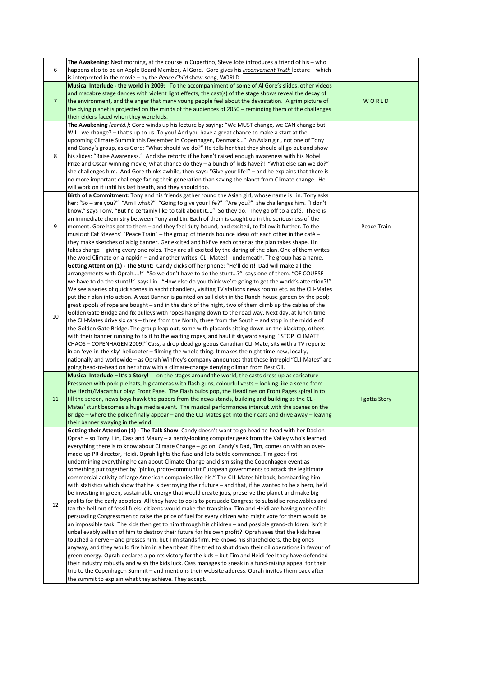| 6              | The Awakening: Next morning, at the course in Cupertino, Steve Jobs introduces a friend of his - who<br>happens also to be an Apple Board Member, Al Gore. Gore gives his <i>Inconvenient Truth</i> lecture – which<br>is interpreted in the movie - by the Peace Child show-song, WORLD.                                                                                                                                                                                                                                                                                                                                                                                                                                                                                                                                                                                                                                                                                                                                                                                                                                                                                                                                                                                                                                                                                                                                                                                                                                                                                                                                                                                                                                                                                                                                                                                                                                                                                                                                                                                                         |               |
|----------------|---------------------------------------------------------------------------------------------------------------------------------------------------------------------------------------------------------------------------------------------------------------------------------------------------------------------------------------------------------------------------------------------------------------------------------------------------------------------------------------------------------------------------------------------------------------------------------------------------------------------------------------------------------------------------------------------------------------------------------------------------------------------------------------------------------------------------------------------------------------------------------------------------------------------------------------------------------------------------------------------------------------------------------------------------------------------------------------------------------------------------------------------------------------------------------------------------------------------------------------------------------------------------------------------------------------------------------------------------------------------------------------------------------------------------------------------------------------------------------------------------------------------------------------------------------------------------------------------------------------------------------------------------------------------------------------------------------------------------------------------------------------------------------------------------------------------------------------------------------------------------------------------------------------------------------------------------------------------------------------------------------------------------------------------------------------------------------------------------|---------------|
| $\overline{7}$ | Musical Interlude - the world in 2009: To the accompaniment of some of Al Gore's slides, other videos<br>and macabre stage dances with violent light effects, the cast(s) of the stage shows reveal the decay of<br>the environment, and the anger that many young people feel about the devastation. A grim picture of<br>the dying planet is projected on the minds of the audiences of 2050 – reminding them of the challenges<br>their elders faced when they were kids.                                                                                                                                                                                                                                                                                                                                                                                                                                                                                                                                                                                                                                                                                                                                                                                                                                                                                                                                                                                                                                                                                                                                                                                                                                                                                                                                                                                                                                                                                                                                                                                                                      | WORLD         |
| 8              | The Awakening (contd.): Gore winds up his lecture by saying: "We MUST change, we CAN change but<br>WILL we change? - that's up to us. To you! And you have a great chance to make a start at the<br>upcoming Climate Summit this December in Copenhagen, Denmark" An Asian girl, not one of Tony<br>and Candy's group, asks Gore: "What should we do?" He tells her that they should all go out and show<br>his slides: "Raise Awareness." And she retorts: if he hasn't raised enough awareness with his Nobel<br>Prize and Oscar-winning movie, what chance do they - a bunch of kids have?! "What else can we do?"<br>she challenges him. And Gore thinks awhile, then says: "Give your life!" - and he explains that there is<br>no more important challenge facing their generation than saving the planet from Climate change. He<br>will work on it until his last breath, and they should too.                                                                                                                                                                                                                                                                                                                                                                                                                                                                                                                                                                                                                                                                                                                                                                                                                                                                                                                                                                                                                                                                                                                                                                                            |               |
| 9              | Birth of a Commitment: Tony and his friends gather round the Asian girl, whose name is Lin. Tony asks<br>her: "So - are you?" "Am I what?" "Going to give your life?" "Are you?" she challenges him. "I don't<br>know," says Tony. "But I'd certainly like to talk about it" So they do. They go off to a café. There is<br>an immediate chemistry between Tony and Lin. Each of them is caught up in the seriousness of the<br>moment. Gore has got to them - and they feel duty-bound, and excited, to follow it further. To the<br>music of Cat Stevens' "Peace Train" – the group of friends bounce ideas off each other in the café –<br>they make sketches of a big banner. Get excited and hi-five each other as the plan takes shape. Lin<br>takes charge – giving every one roles. They are all excited by the daring of the plan. One of them writes<br>the word Climate on a napkin – and another writes: CLI-Mates! - underneath. The group has a name.                                                                                                                                                                                                                                                                                                                                                                                                                                                                                                                                                                                                                                                                                                                                                                                                                                                                                                                                                                                                                                                                                                                               | Peace Train   |
| 10             | Getting Attention (1) - The Stunt: Candy clicks off her phone: "He'll do it! Dad will make all the<br>arrangements with Oprah!" "So we don't have to do the stunt?" says one of them. "OF COURSE<br>"We have to do the stunt!!" says Lin. "How else do you think we're going to get the world's attention?!"<br>We see a series of quick scenes in yacht chandlers, visiting TV stations news rooms etc. as the CLI-Mates<br>put their plan into action. A vast Banner is painted on sail cloth in the Ranch-house garden by the pool;<br>great spools of rope are bought – and in the dark of the night, two of them climb up the cables of the<br>Golden Gate Bridge and fix pulleys with ropes hanging down to the road way. Next day, at lunch-time,<br>the CLI-Mates drive six cars – three from the North, three from the South – and stop in the middle of<br>the Golden Gate Bridge. The group leap out, some with placards sitting down on the blacktop, others<br>with their banner running to fix it to the waiting ropes, and haul it skyward saying: "STOP CLIMATE<br>CHAOS – COPENHAGEN 2009!" Cass, a drop-dead gorgeous Canadian CLI-Mate, sits with a TV reporter<br>in an 'eye-in-the-sky' helicopter - filming the whole thing. It makes the night time new, locally,<br>nationally and worldwide – as Oprah Winfrey's company announces that these intrepid "CLI-Mates" are<br>going head-to-head on her show with a climate-change denying oilman from Best Oil.                                                                                                                                                                                                                                                                                                                                                                                                                                                                                                                                                                                                             |               |
| 11             | Musical Interlude – It's a Story! - on the stages around the world, the casts dress up as caricature<br>Pressmen with pork-pie hats, big cameras with flash guns, colourful vests - looking like a scene from<br>the Hecht/Macarthur play: Front Page. The Flash bulbs pop, the Headlines on Front Pages spiral in to<br>fill the screen, news boys hawk the papers from the news stands, building and building as the CLI-<br>Mates' stunt becomes a huge media event. The musical performances intercut with the scenes on the<br>Bridge – where the police finally appear – and the CLI-Mates get into their cars and drive away – leaving<br>their banner swaying in the wind.                                                                                                                                                                                                                                                                                                                                                                                                                                                                                                                                                                                                                                                                                                                                                                                                                                                                                                                                                                                                                                                                                                                                                                                                                                                                                                                                                                                                                | I gotta Story |
| 12             | Getting their Attention (1) - The Talk Show: Candy doesn't want to go head-to-head with her Dad on<br>Oprah – so Tony, Lin, Cass and Maury – a nerdy-looking computer geek from the Valley who's learned<br>everything there is to know about Climate Change – go on. Candy's Dad, Tim, comes on with an over-<br>made-up PR director, Heidi. Oprah lights the fuse and lets battle commence. Tim goes first -<br>undermining everything he can about Climate Change and dismissing the Copenhagen event as<br>something put together by "pinko, proto-communist European governments to attack the legitimate<br>commercial activity of large American companies like his." The CLI-Mates hit back, bombarding him<br>with statistics which show that he is destroying their future – and that, if he wanted to be a hero, he'd<br>be investing in green, sustainable energy that would create jobs, preserve the planet and make big<br>profits for the early adopters. All they have to do is to persuade Congress to subsidise renewables and<br>tax the hell out of fossil fuels: citizens would make the transition. Tim and Heidi are having none of it:<br>persuading Congressmen to raise the price of fuel for every citizen who might vote for them would be<br>an impossible task. The kids then get to him through his children – and possible grand-children: isn't it<br>unbelievably selfish of him to destroy their future for his own profit? Oprah sees that the kids have<br>touched a nerve - and presses him: but Tim stands firm. He knows his shareholders, the big ones<br>anyway, and they would fire him in a heartbeat if he tried to shut down their oil operations in favour of<br>green energy. Oprah declares a points victory for the kids - but Tim and Heidi feel they have defended<br>their industry robustly and wish the kids luck. Cass manages to sneak in a fund-raising appeal for their<br>trip to the Copenhagen Summit – and mentions their website address. Oprah invites them back after<br>the summit to explain what they achieve. They accept. |               |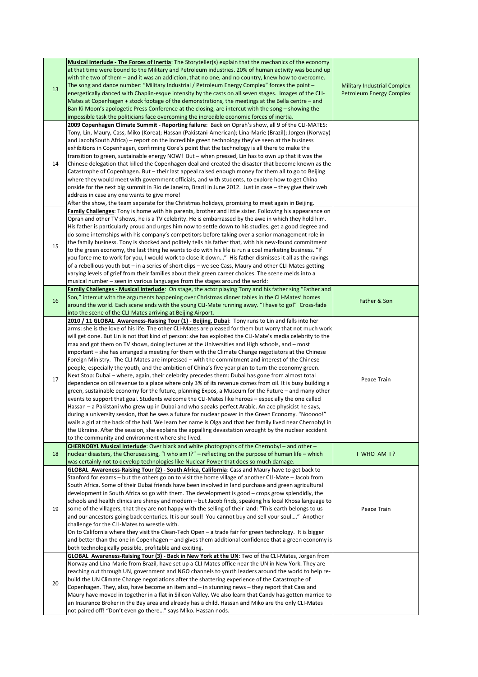|    | Musical Interlude - The Forces of Inertia: The Storyteller(s) explain that the mechanics of the economy     |                                    |
|----|-------------------------------------------------------------------------------------------------------------|------------------------------------|
|    | at that time were bound to the Military and Petroleum industries. 20% of human activity was bound up        |                                    |
|    | with the two of them – and it was an addiction, that no one, and no country, knew how to overcome.          |                                    |
|    | The song and dance number: "Military Industrial / Petroleum Energy Complex" forces the point -              | <b>Military Industrial Complex</b> |
| 13 | energetically danced with Chaplin-esque intensity by the casts on all seven stages. Images of the CLI-      | <b>Petroleum Energy Complex</b>    |
|    | Mates at Copenhagen + stock footage of the demonstrations, the meetings at the Bella centre – and           |                                    |
|    | Ban Ki Moon's apologetic Press Conference at the closing, are intercut with the song – showing the          |                                    |
|    | impossible task the politicians face overcoming the incredible economic forces of inertia.                  |                                    |
|    | 2009 Copenhagen Climate Summit - Reporting failure: Back on Oprah's show, all 9 of the CLI-MATES:           |                                    |
|    | Tony, Lin, Maury, Cass, Miko (Korea); Hassan (Pakistani-American); Lina-Marie (Brazil); Jorgen (Norway)     |                                    |
|    | and Jacob(South Africa) – report on the incredible green technology they've seen at the business            |                                    |
|    | exhibitions in Copenhagen, confirming Gore's point that the technology is all there to make the             |                                    |
|    | transition to green, sustainable energy NOW! But – when pressed, Lin has to own up that it was the          |                                    |
| 14 | Chinese delegation that killed the Copenhagen deal and created the disaster that become known as the        |                                    |
|    | Catastrophe of Copenhagen. But – their last appeal raised enough money for them all to go to Beijing        |                                    |
|    | where they would meet with government officials, and with students, to explore how to get China             |                                    |
|    |                                                                                                             |                                    |
|    | onside for the next big summit in Rio de Janeiro, Brazil in June 2012. Just in case - they give their web   |                                    |
|    | address in case any one wants to give more!                                                                 |                                    |
|    | After the show, the team separate for the Christmas holidays, promising to meet again in Beijing.           |                                    |
|    | Family Challenges: Tony is home with his parents, brother and little sister. Following his appearance on    |                                    |
|    | Oprah and other TV shows, he is a TV celebrity. He is embarrassed by the awe in which they hold him.        |                                    |
|    | His father is particularly proud and urges him now to settle down to his studies, get a good degree and     |                                    |
|    | do some internships with his company's competitors before taking over a senior management role in           |                                    |
| 15 | the family business. Tony is shocked and politely tells his father that, with his new-found commitment      |                                    |
|    | to the green economy, the last thing he wants to do with his life is run a coal marketing business. "If     |                                    |
|    | you force me to work for you, I would work to close it down" His father dismisses it all as the ravings     |                                    |
|    | of a rebellious youth but – in a series of short clips – we see Cass, Maury and other CLI-Mates getting     |                                    |
|    | varying levels of grief from their families about their green career choices. The scene melds into a        |                                    |
|    | musical number – seen in various languages from the stages around the world:                                |                                    |
|    | Family Challenges - Musical Interlude: On stage, the actor playing Tony and his father sing "Father and     |                                    |
|    | Son," intercut with the arguments happening over Christmas dinner tables in the CLI-Mates' homes            |                                    |
| 16 | around the world. Each scene ends with the young CLI-Mate running away. "I have to go!" Cross-fade          | Father & Son                       |
|    | into the scene of the CLI-Mates arriving at Beijing Airport.                                                |                                    |
|    | 2010 / 11 GLOBAL  Awareness-Raising Tour (1) - Beijing, Dubai: Tony runs to Lin and falls into her          |                                    |
|    | arms: she is the love of his life. The other CLI-Mates are pleased for them but worry that not much work    |                                    |
|    | will get done. But Lin is not that kind of person: she has exploited the CLI-Mate's media celebrity to the  |                                    |
|    | max and got them on TV shows, doing lectures at the Universities and High schools, and – most               |                                    |
|    |                                                                                                             |                                    |
|    | important – she has arranged a meeting for them with the Climate Change negotiators at the Chinese          |                                    |
|    | Foreign Ministry. The CLI-Mates are impressed – with the commitment and interest of the Chinese             |                                    |
|    | people, especially the youth, and the ambition of China's five year plan to turn the economy green.         |                                    |
| 17 | Next Stop: Dubai - where, again, their celebrity precedes them: Dubai has gone from almost total            | Peace Train                        |
|    | dependence on oil revenue to a place where only 3% of its revenue comes from oil. It is busy building a     |                                    |
|    | green, sustainable economy for the future, planning Expos, a Museum for the Future – and many other         |                                    |
|    | events to support that goal. Students welcome the CLI-Mates like heroes – especially the one called         |                                    |
|    | Hassan – a Pakistani who grew up in Dubai and who speaks perfect Arabic. An ace physicist he says,          |                                    |
|    | during a university session, that he sees a future for nuclear power in the Green Economy. "Nooooo!"        |                                    |
|    | wails a girl at the back of the hall. We learn her name is Olga and that her family lived near Chernobyl in |                                    |
|    | the Ukraine. After the session, she explains the appalling devastation wrought by the nuclear accident      |                                    |
|    | to the community and environment where she lived.                                                           |                                    |
|    | CHERNOBYL Musical Interlude: Over black and white photographs of the Chernobyl - and other -                |                                    |
| 18 | nuclear disasters, the Choruses sing, "I who am $P''$ – reflecting on the purpose of human life – which     | I WHO AM I?                        |
|    | was certainly not to develop technologies like Nuclear Power that does so much damage.                      |                                    |
|    | GLOBAL Awareness-Raising Tour (2) - South Africa, California: Cass and Maury have to get back to            |                                    |
|    | Stanford for exams – but the others go on to visit the home village of another CLI-Mate – Jacob from        |                                    |
|    | South Africa. Some of their Dubai friends have been involved in land purchase and green agricultural        |                                    |
|    | development in South Africa so go with them. The development is good $-$ crops grow splendidly, the         |                                    |
|    | schools and health clinics are shiney and modern - but Jacob finds, speaking his local Khosa language to    |                                    |
| 19 | some of the villagers, that they are not happy with the selling of their land: "This earth belongs to us    | Peace Train                        |
|    |                                                                                                             |                                    |
|    | and our ancestors going back centuries. It is our soul! You cannot buy and sell your soul" Another          |                                    |
|    | challenge for the CLI-Mates to wrestle with.                                                                |                                    |
|    | On to California where they visit the Clean-Tech Open – a trade fair for green technology. It is bigger     |                                    |
|    | and better than the one in Copenhagen – and gives them additional confidence that a green economy is        |                                    |
|    | both technologically possible, profitable and exciting.                                                     |                                    |
|    |                                                                                                             |                                    |
|    | GLOBAL Awareness-Raising Tour (3) - Back in New York at the UN: Two of the CLI-Mates, Jorgen from           |                                    |
|    | Norway and Lina-Marie from Brazil, have set up a CLI-Mates office near the UN in New York. They are         |                                    |
|    | reaching out through UN, government and NGO channels to youth leaders around the world to help re-          |                                    |
|    | build the UN Climate Change negotiations after the shattering experience of the Catastrophe of              |                                    |
| 20 | Copenhagen. They, also, have become an item and – in stunning news – they report that Cass and              |                                    |
|    | Maury have moved in together in a flat in Silicon Valley. We also learn that Candy has gotten married to    |                                    |
|    | an Insurance Broker in the Bay area and already has a child. Hassan and Miko are the only CLI-Mates         |                                    |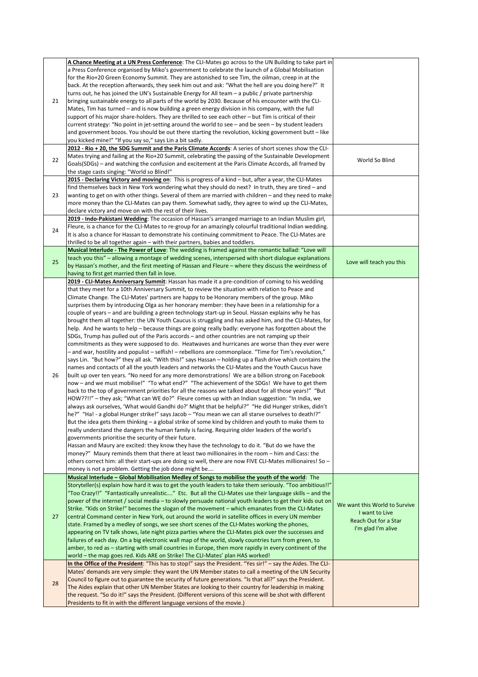|    | A Chance Meeting at a UN Press Conference: The CLI-Mates go across to the UN Building to take part in        |                               |
|----|--------------------------------------------------------------------------------------------------------------|-------------------------------|
|    | a Press Conference organised by Miko's government to celebrate the launch of a Global Mobilisation           |                               |
|    | for the Rio+20 Green Economy Summit. They are astonished to see Tim, the oilman, creep in at the             |                               |
|    | back. At the reception afterwards, they seek him out and ask: "What the hell are you doing here?" It         |                               |
|    | turns out, he has joined the UN's Sustainable Energy for All team - a public / private partnership           |                               |
| 21 | bringing sustainable energy to all parts of the world by 2030. Because of his encounter with the CLI-        |                               |
|    | Mates, Tim has turned – and is now building a green energy division in his company, with the full            |                               |
|    | support of his major share-holders. They are thrilled to see each other – but Tim is critical of their       |                               |
|    | current strategy: "No point in jet-setting around the world to see $-$ and be seen $-$ by student leaders    |                               |
|    |                                                                                                              |                               |
|    | and government bozos. You should be out there starting the revolution, kicking government butt - like        |                               |
|    | you kicked mine!" "If you say so," says Lin a bit sadly.                                                     |                               |
|    | 2012 - Rio + 20, the SDG Summit and the Paris Climate Accords: A series of short scenes show the CLI-        |                               |
| 22 | Mates trying and failing at the Rio+20 Summit, celebrating the passing of the Sustainable Development        | World So Blind                |
|    | Goals(SDGs) – and watching the confusion and excitement at the Paris Climate Accords, all framed by          |                               |
|    | the stage casts singing: "World so Blind!"                                                                   |                               |
|    | 2015 - Declaring Victory and moving on: This is progress of a kind - but, after a year, the CLI-Mates        |                               |
|    | find themselves back in New York wondering what they should do next? In truth, they are tired – and          |                               |
| 23 | wanting to get on with other things. Several of them are married with children – and they need to make       |                               |
|    |                                                                                                              |                               |
|    | more money than the CLI-Mates can pay them. Somewhat sadly, they agree to wind up the CLI-Mates,             |                               |
|    | declare victory and move on with the rest of their lives.                                                    |                               |
|    | 2019 - Indo-Pakistani Wedding: The occasion of Hassan's arranged marriage to an Indian Muslim girl,          |                               |
| 24 | Fleure, is a chance for the CLI-Mates to re-group for an amazingly colourful traditional Indian wedding.     |                               |
|    | It is also a chance for Hassan to demonstrate his continuing commitment to Peace. The CLI-Mates are          |                               |
|    | thrilled to be all together again – with their partners, babies and toddlers.                                |                               |
|    | Musical Interlude - The Power of Love: The wedding is framed against the romantic ballad: "Love will         |                               |
|    | teach you this" – allowing a montage of wedding scenes, interspersed with short dialogue explanations        |                               |
| 25 | by Hassan's mother, and the first meeting of Hassan and Fleure - where they discuss the weirdness of         | Love will teach you this      |
|    |                                                                                                              |                               |
|    | having to first get married then fall in love.                                                               |                               |
|    | 2019 - CLI-Mates Anniversary Summit: Hassan has made it a pre-condition of coming to his wedding             |                               |
|    | that they meet for a 10th Anniversary Summit, to review the situation with relation to Peace and             |                               |
|    | Climate Change. The CLI-Mates' partners are happy to be Honorary members of the group. Miko                  |                               |
|    | surprises them by introducing Olga as her honorary member: they have been in a relationship for a            |                               |
|    | couple of years – and are building a green technology start-up in Seoul. Hassan explains why he has          |                               |
|    | brought them all together: the UN Youth Caucus is struggling and has asked him, and the CLI-Mates, for       |                               |
|    | help. And he wants to help – because things are going really badly: everyone has forgotten about the         |                               |
|    |                                                                                                              |                               |
|    | SDGs, Trump has pulled out of the Paris accords – and other countries are not ramping up their               |                               |
|    | commitments as they were supposed to do. Heatwaves and hurricanes are worse than they ever were              |                               |
|    | ", and war, hostility and populist – selfish! – rebellions are commonplace. "Time for Tim's revolution-      |                               |
|    | says Lin. "But how?" they all ask. "With this!" says Hassan – holding up a flash drive which contains the    |                               |
|    | names and contacts of all the youth leaders and networks the CLI-Mates and the Youth Caucus have             |                               |
| 26 | built up over ten years. "No need for any more demonstrations! We are a billion strong on Facebook           |                               |
|    | now - and we must mobilise!" "To what end?" "The achievement of the SDGs! We have to get them                |                               |
|    |                                                                                                              |                               |
|    | back to the top of government priorities for all the reasons we talked about for all those years!" "But      |                               |
|    | HOW??!!" - they ask; "What can WE do?" Fleure comes up with an Indian suggestion: "In India, we              |                               |
|    | always ask ourselves, 'What would Gandhi do?' Might that be helpful?" "He did Hunger strikes, didn't         |                               |
|    | "?he?" "Ha! - a global Hunger strike!" says Jacob - "You mean we can all starve ourselves to death!?         |                               |
|    | But the idea gets them thinking $-$ a global strike of some kind by children and youth to make them to       |                               |
|    |                                                                                                              |                               |
|    |                                                                                                              |                               |
|    | really understand the dangers the human family is facing. Requiring older leaders of the world's             |                               |
|    | governments prioritise the security of their future.                                                         |                               |
|    | Hassan and Maury are excited: they know they have the technology to do it. "But do we have the               |                               |
|    | money?" Maury reminds them that there at least two millionaires in the room - him and Cass: the              |                               |
|    | others correct him: all their start-ups are doing so well, there are now FIVE CLI-Mates millionaires! So -   |                               |
|    | money is not a problem. Getting the job done might be                                                        |                               |
|    | Musical Interlude – Global Mobilisation Medley of Songs to mobilise the youth of the world: The              |                               |
|    | Storyteller(s) explain how hard it was to get the youth leaders to take them seriously. "Too ambitious!!"    |                               |
|    |                                                                                                              | We want this World to Survive |
|    | "Too Crazy!!" "Fantastically unrealistic" Etc. But all the CLI-Mates use their language skills - and the     |                               |
|    | power of the internet / social media - to slowly persuade national youth leaders to get their kids out on    |                               |
|    | Strike. "Kids on Strike!" becomes the slogan of the movement - which emanates from the CLI-Mates             | I want to Live                |
| 27 | central Command center in New York, out around the world in satellite offices in every UN member             |                               |
|    | state. Framed by a medley of songs, we see short scenes of the CLI-Mates working the phones,                 | Reach Out for a Star          |
|    | appearing on TV talk shows, late night pizza parties where the CLI-Mates pick over the successes and         | I'm glad I'm alive            |
|    | failures of each day. On a big electronic wall map of the world, slowly countries turn from green, to        |                               |
|    |                                                                                                              |                               |
|    | amber, to red as – starting with small countries in Europe, then more rapidly in every continent of the      |                               |
|    | world - the map goes red. Kids ARE on Strike! The CLI-Mates' plan HAS worked!                                |                               |
|    | In the Office of the President: "This has to stop!" says the President. "Yes sir!" - say the Aides. The CLI- |                               |
|    | Mates' demands are very simple: they want the UN Member states to call a meeting of the UN Security          |                               |
|    | Council to figure out to guarantee the security of future generations. "Is that all?" says the President.    |                               |
| 28 | The Aides explain that other UN Member States are looking to their country for leadership in making          |                               |
|    | the request. "So do it!" says the President. (Different versions of this scene will be shot with different   |                               |
|    | Presidents to fit in with the different language versions of the movie.)                                     |                               |